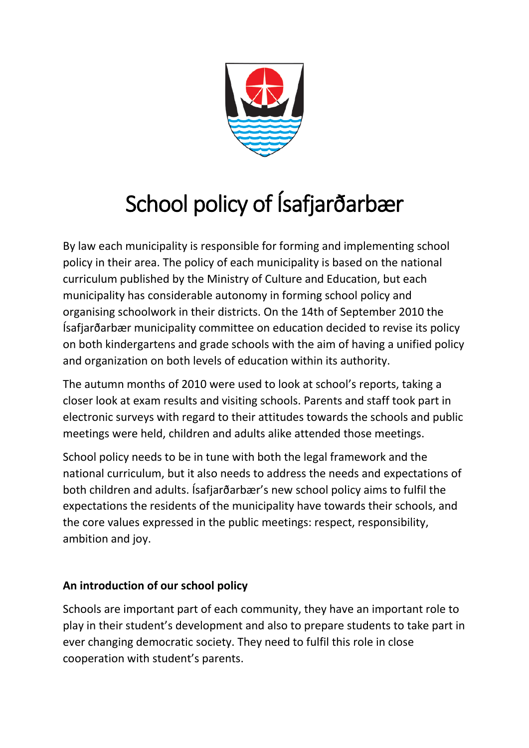

# School policy of Ísafjarðarbær

By law each municipality is responsible for forming and implementing school policy in their area. The policy of each municipality is based on the national curriculum published by the Ministry of Culture and Education, but each municipality has considerable autonomy in forming school policy and organising schoolwork in their districts. On the 14th of September 2010 the Ísafjarðarbær municipality committee on education decided to revise its policy on both kindergartens and grade schools with the aim of having a unified policy and organization on both levels of education within its authority.

The autumn months of 2010 were used to look at school's reports, taking a closer look at exam results and visiting schools. Parents and staff took part in electronic surveys with regard to their attitudes towards the schools and public meetings were held, children and adults alike attended those meetings.

School policy needs to be in tune with both the legal framework and the national curriculum, but it also needs to address the needs and expectations of both children and adults. Ísafjarðarbær's new school policy aims to fulfil the expectations the residents of the municipality have towards their schools, and the core values expressed in the public meetings: respect, responsibility, ambition and joy.

# **An introduction of our school policy**

Schools are important part of each community, they have an important role to play in their student's development and also to prepare students to take part in ever changing democratic society. They need to fulfil this role in close cooperation with student's parents.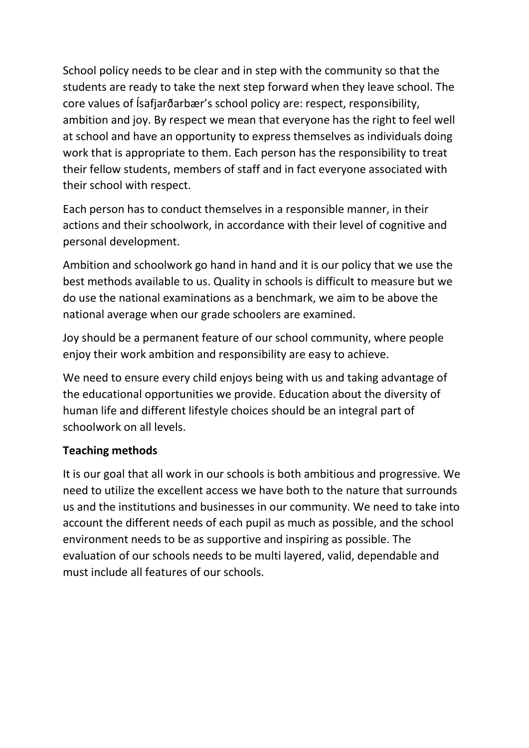School policy needs to be clear and in step with the community so that the students are ready to take the next step forward when they leave school. The core values of Ísafjarðarbær's school policy are: respect, responsibility, ambition and joy. By respect we mean that everyone has the right to feel well at school and have an opportunity to express themselves as individuals doing work that is appropriate to them. Each person has the responsibility to treat their fellow students, members of staff and in fact everyone associated with their school with respect.

Each person has to conduct themselves in a responsible manner, in their actions and their schoolwork, in accordance with their level of cognitive and personal development.

Ambition and schoolwork go hand in hand and it is our policy that we use the best methods available to us. Quality in schools is difficult to measure but we do use the national examinations as a benchmark, we aim to be above the national average when our grade schoolers are examined.

Joy should be a permanent feature of our school community, where people enjoy their work ambition and responsibility are easy to achieve.

We need to ensure every child enjoys being with us and taking advantage of the educational opportunities we provide. Education about the diversity of human life and different lifestyle choices should be an integral part of schoolwork on all levels.

# **Teaching methods**

It is our goal that all work in our schools is both ambitious and progressive. We need to utilize the excellent access we have both to the nature that surrounds us and the institutions and businesses in our community. We need to take into account the different needs of each pupil as much as possible, and the school environment needs to be as supportive and inspiring as possible. The evaluation of our schools needs to be multi layered, valid, dependable and must include all features of our schools.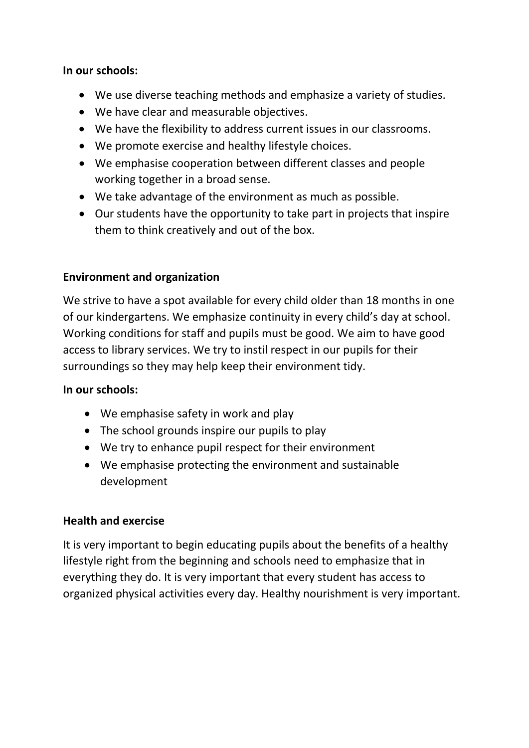## **In our schools:**

- We use diverse teaching methods and emphasize a variety of studies.
- We have clear and measurable objectives.
- We have the flexibility to address current issues in our classrooms.
- We promote exercise and healthy lifestyle choices.
- We emphasise cooperation between different classes and people working together in a broad sense.
- We take advantage of the environment as much as possible.
- Our students have the opportunity to take part in projects that inspire them to think creatively and out of the box.

# **Environment and organization**

We strive to have a spot available for every child older than 18 months in one of our kindergartens. We emphasize continuity in every child's day at school. Working conditions for staff and pupils must be good. We aim to have good access to library services. We try to instil respect in our pupils for their surroundings so they may help keep their environment tidy.

## **In our schools:**

- We emphasise safety in work and play
- The school grounds inspire our pupils to play
- We try to enhance pupil respect for their environment
- We emphasise protecting the environment and sustainable development

# **Health and exercise**

It is very important to begin educating pupils about the benefits of a healthy lifestyle right from the beginning and schools need to emphasize that in everything they do. It is very important that every student has access to organized physical activities every day. Healthy nourishment is very important.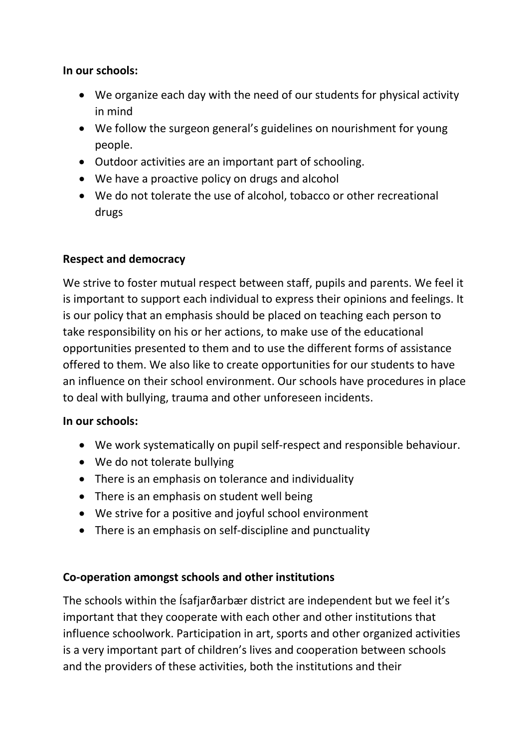## **In our schools:**

- We organize each day with the need of our students for physical activity in mind
- We follow the surgeon general's guidelines on nourishment for young people.
- Outdoor activities are an important part of schooling.
- We have a proactive policy on drugs and alcohol
- We do not tolerate the use of alcohol, tobacco or other recreational drugs

# **Respect and democracy**

We strive to foster mutual respect between staff, pupils and parents. We feel it is important to support each individual to express their opinions and feelings. It is our policy that an emphasis should be placed on teaching each person to take responsibility on his or her actions, to make use of the educational opportunities presented to them and to use the different forms of assistance offered to them. We also like to create opportunities for our students to have an influence on their school environment. Our schools have procedures in place to deal with bullying, trauma and other unforeseen incidents.

## **In our schools:**

- We work systematically on pupil self-respect and responsible behaviour.
- We do not tolerate bullying
- There is an emphasis on tolerance and individuality
- There is an emphasis on student well being
- We strive for a positive and joyful school environment
- There is an emphasis on self-discipline and punctuality

# **Co-operation amongst schools and other institutions**

The schools within the Ísafjarðarbær district are independent but we feel it's important that they cooperate with each other and other institutions that influence schoolwork. Participation in art, sports and other organized activities is a very important part of children's lives and cooperation between schools and the providers of these activities, both the institutions and their